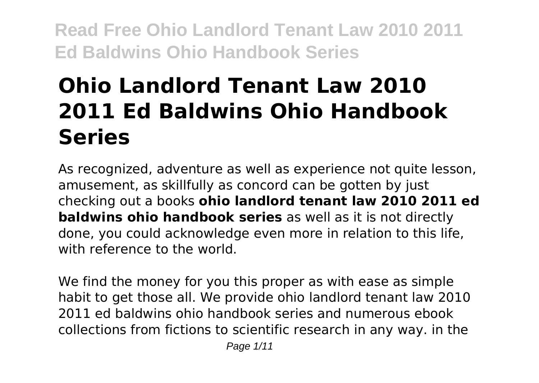# **Ohio Landlord Tenant Law 2010 2011 Ed Baldwins Ohio Handbook Series**

As recognized, adventure as well as experience not quite lesson, amusement, as skillfully as concord can be gotten by just checking out a books **ohio landlord tenant law 2010 2011 ed baldwins ohio handbook series** as well as it is not directly done, you could acknowledge even more in relation to this life, with reference to the world.

We find the money for you this proper as with ease as simple habit to get those all. We provide ohio landlord tenant law 2010 2011 ed baldwins ohio handbook series and numerous ebook collections from fictions to scientific research in any way. in the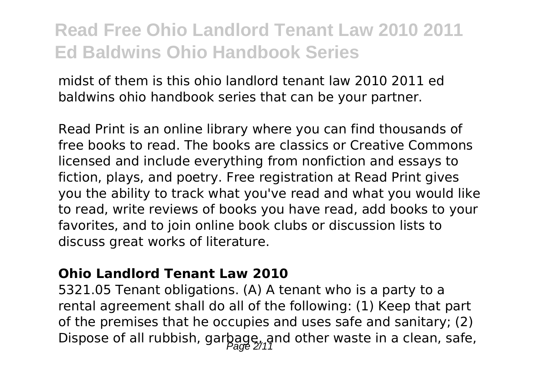midst of them is this ohio landlord tenant law 2010 2011 ed baldwins ohio handbook series that can be your partner.

Read Print is an online library where you can find thousands of free books to read. The books are classics or Creative Commons licensed and include everything from nonfiction and essays to fiction, plays, and poetry. Free registration at Read Print gives you the ability to track what you've read and what you would like to read, write reviews of books you have read, add books to your favorites, and to join online book clubs or discussion lists to discuss great works of literature.

#### **Ohio Landlord Tenant Law 2010**

5321.05 Tenant obligations. (A) A tenant who is a party to a rental agreement shall do all of the following: (1) Keep that part of the premises that he occupies and uses safe and sanitary; (2) Dispose of all rubbish, garbage, and other waste in a clean, safe,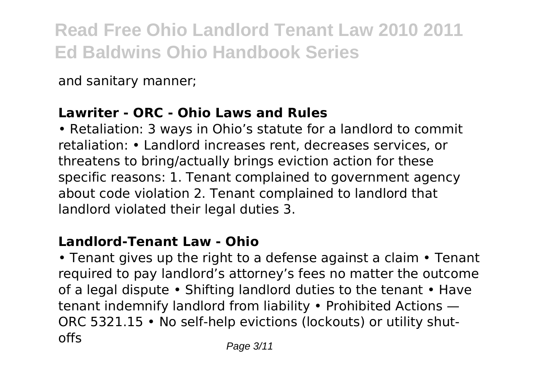and sanitary manner;

### **Lawriter - ORC - Ohio Laws and Rules**

• Retaliation: 3 ways in Ohio's statute for a landlord to commit retaliation: • Landlord increases rent, decreases services, or threatens to bring/actually brings eviction action for these specific reasons: 1. Tenant complained to government agency about code violation 2. Tenant complained to landlord that landlord violated their legal duties 3.

### **Landlord-Tenant Law - Ohio**

• Tenant gives up the right to a defense against a claim • Tenant required to pay landlord's attorney's fees no matter the outcome of a legal dispute • Shifting landlord duties to the tenant • Have tenant indemnify landlord from liability • Prohibited Actions — ORC 5321.15 • No self-help evictions (lockouts) or utility shutoffs Page 3/11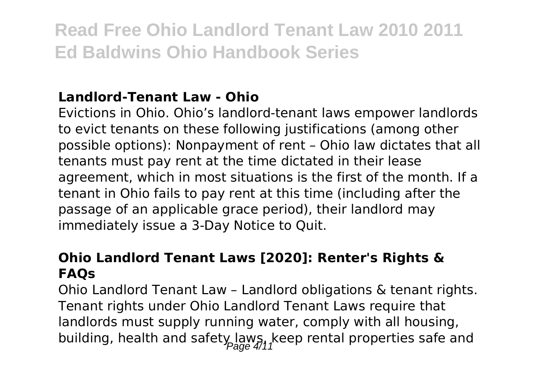#### **Landlord-Tenant Law - Ohio**

Evictions in Ohio. Ohio's landlord-tenant laws empower landlords to evict tenants on these following justifications (among other possible options): Nonpayment of rent – Ohio law dictates that all tenants must pay rent at the time dictated in their lease agreement, which in most situations is the first of the month. If a tenant in Ohio fails to pay rent at this time (including after the passage of an applicable grace period), their landlord may immediately issue a 3-Day Notice to Quit.

#### **Ohio Landlord Tenant Laws [2020]: Renter's Rights & FAQs**

Ohio Landlord Tenant Law – Landlord obligations & tenant rights. Tenant rights under Ohio Landlord Tenant Laws require that landlords must supply running water, comply with all housing, building, health and safety laws, keep rental properties safe and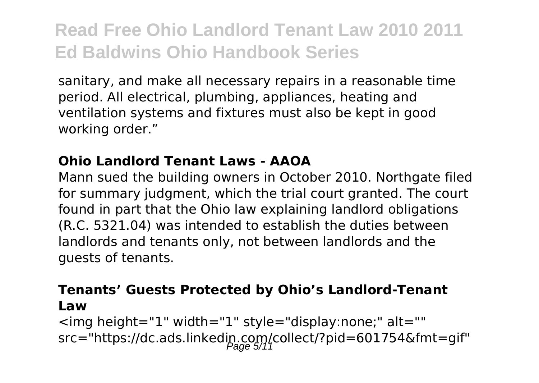sanitary, and make all necessary repairs in a reasonable time period. All electrical, plumbing, appliances, heating and ventilation systems and fixtures must also be kept in good working order."

#### **Ohio Landlord Tenant Laws - AAOA**

Mann sued the building owners in October 2010. Northgate filed for summary judgment, which the trial court granted. The court found in part that the Ohio law explaining landlord obligations (R.C. 5321.04) was intended to establish the duties between landlords and tenants only, not between landlords and the guests of tenants.

#### **Tenants' Guests Protected by Ohio's Landlord-Tenant Law**

<img height="1" width="1" style="display:none;" alt="" src="https://dc.ads.linkedip.com/collect/?pid=601754&fmt=gif"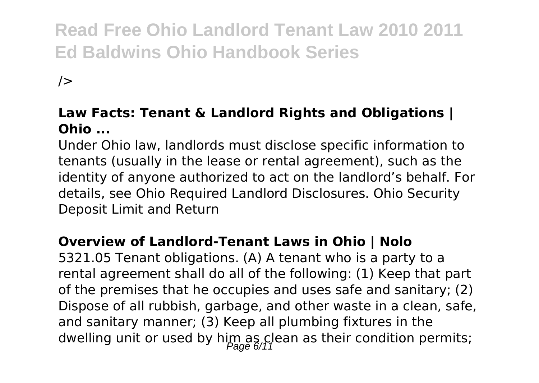$/$ 

#### **Law Facts: Tenant & Landlord Rights and Obligations | Ohio ...**

Under Ohio law, landlords must disclose specific information to tenants (usually in the lease or rental agreement), such as the identity of anyone authorized to act on the landlord's behalf. For details, see Ohio Required Landlord Disclosures. Ohio Security Deposit Limit and Return

#### **Overview of Landlord-Tenant Laws in Ohio | Nolo**

5321.05 Tenant obligations. (A) A tenant who is a party to a rental agreement shall do all of the following: (1) Keep that part of the premises that he occupies and uses safe and sanitary; (2) Dispose of all rubbish, garbage, and other waste in a clean, safe, and sanitary manner; (3) Keep all plumbing fixtures in the dwelling unit or used by him as clean as their condition permits;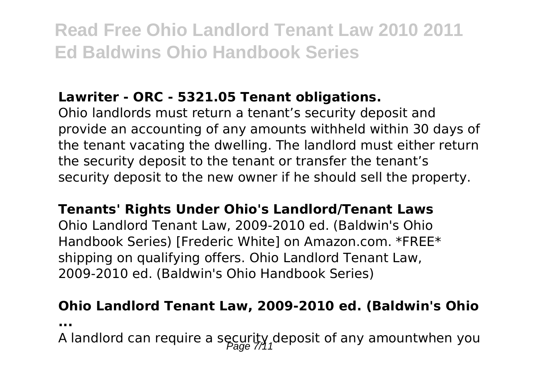## **Lawriter - ORC - 5321.05 Tenant obligations.**

Ohio landlords must return a tenant's security deposit and provide an accounting of any amounts withheld within 30 days of the tenant vacating the dwelling. The landlord must either return the security deposit to the tenant or transfer the tenant's security deposit to the new owner if he should sell the property.

#### **Tenants' Rights Under Ohio's Landlord/Tenant Laws**

Ohio Landlord Tenant Law, 2009-2010 ed. (Baldwin's Ohio Handbook Series) [Frederic White] on Amazon.com. \*FREE\* shipping on qualifying offers. Ohio Landlord Tenant Law, 2009-2010 ed. (Baldwin's Ohio Handbook Series)

# **Ohio Landlord Tenant Law, 2009-2010 ed. (Baldwin's Ohio**

**...**

A landlord can require a security deposit of any amountwhen you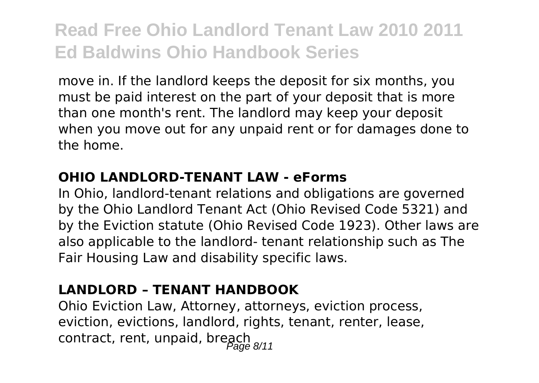move in. If the landlord keeps the deposit for six months, you must be paid interest on the part of your deposit that is more than one month's rent. The landlord may keep your deposit when you move out for any unpaid rent or for damages done to the home.

#### **OHIO LANDLORD-TENANT LAW - eForms**

In Ohio, landlord-tenant relations and obligations are governed by the Ohio Landlord Tenant Act (Ohio Revised Code 5321) and by the Eviction statute (Ohio Revised Code 1923). Other laws are also applicable to the landlord- tenant relationship such as The Fair Housing Law and disability specific laws.

### **LANDLORD – TENANT HANDBOOK**

Ohio Eviction Law, Attorney, attorneys, eviction process, eviction, evictions, landlord, rights, tenant, renter, lease, contract, rent, unpaid, breach  $\frac{1}{\text{Page } 8/11}$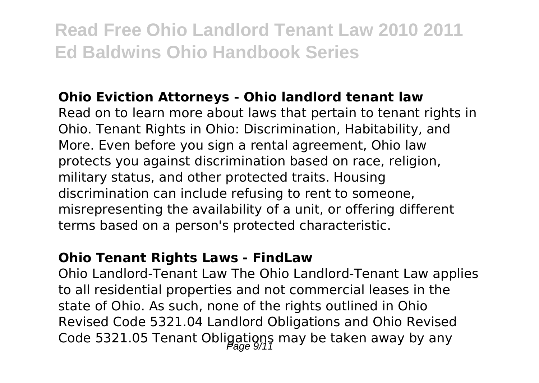#### **Ohio Eviction Attorneys - Ohio landlord tenant law**

Read on to learn more about laws that pertain to tenant rights in Ohio. Tenant Rights in Ohio: Discrimination, Habitability, and More. Even before you sign a rental agreement, Ohio law protects you against discrimination based on race, religion, military status, and other protected traits. Housing discrimination can include refusing to rent to someone, misrepresenting the availability of a unit, or offering different terms based on a person's protected characteristic.

#### **Ohio Tenant Rights Laws - FindLaw**

Ohio Landlord-Tenant Law The Ohio Landlord-Tenant Law applies to all residential properties and not commercial leases in the state of Ohio. As such, none of the rights outlined in Ohio Revised Code 5321.04 Landlord Obligations and Ohio Revised Code 5321.05 Tenant Obligations may be taken away by any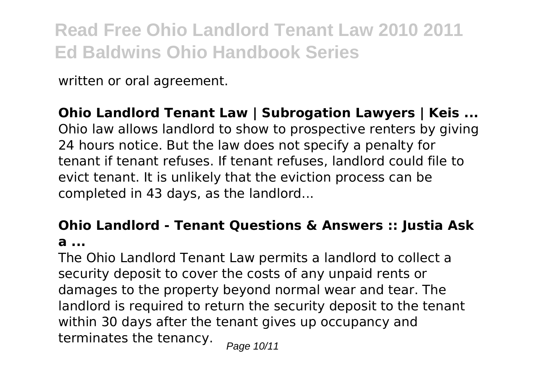written or oral agreement.

**Ohio Landlord Tenant Law | Subrogation Lawyers | Keis ...** Ohio law allows landlord to show to prospective renters by giving 24 hours notice. But the law does not specify a penalty for tenant if tenant refuses. If tenant refuses, landlord could file to evict tenant. It is unlikely that the eviction process can be completed in 43 days, as the landlord...

### **Ohio Landlord - Tenant Questions & Answers :: Justia Ask a ...**

The Ohio Landlord Tenant Law permits a landlord to collect a security deposit to cover the costs of any unpaid rents or damages to the property beyond normal wear and tear. The landlord is required to return the security deposit to the tenant within 30 days after the tenant gives up occupancy and terminates the tenancy.  $_{Page 10/11}$